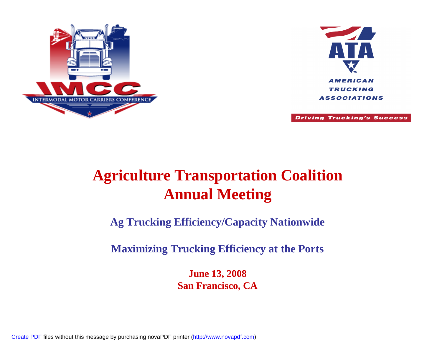



**Driving Trucking's Success** 

#### **Agriculture Transportation Coalition Annual Meeting**

**Ag Trucking Efficiency/Capacity Nationwide** 

**Maximizing Trucking Efficiency at the Ports**

**June 13, 2008 San Francisco, CA**

[Create PDF](http://www.novapdf.com) files without this message by purchasing novaPDF printer ([http://www.novapdf.com\)](http://www.novapdf.com)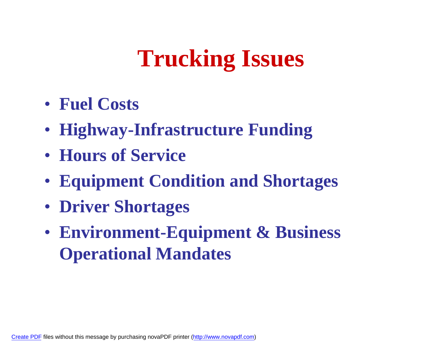# **Trucking Issues**

- **Fuel Costs**
- **Highway-Infrastructure Funding**
- **Hours of Service**
- **Equipment Condition and Shortages**
- **Driver Shortages**
- **Environment-Equipment & Business Operational Mandates**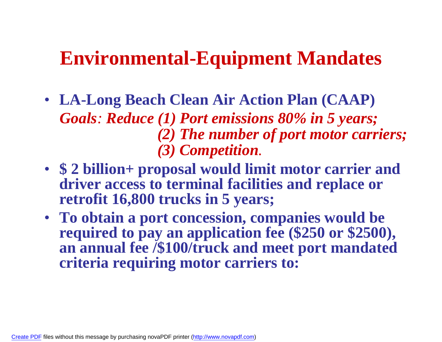#### **Environmental-Equipment Mandates**

- **LA-Long Beach Clean Air Action Plan (CAAP)** *Goals: Reduce (1) Port emissions 80% in 5 years; (2) The number of port motor carriers; (3) Competition.*
- **\$ 2 billion+ proposal would limit motor carrier and driver access to terminal facilities and replace or retrofit 16,800 trucks in 5 years;**
- **To obtain a port concession, companies would be required to pay an application fee (\$250 or \$2500), an annual fee /\$100/truck and meet port mandated criteria requiring motor carriers to:**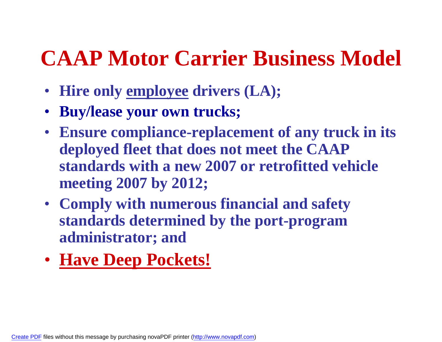### **CAAP Motor Carrier Business Model**

- **Hire only employee drivers (LA);**
- **Buy/lease your own trucks;**
- **Ensure compliance-replacement of any truck in its deployed fleet that does not meet the CAAP standards with a new 2007 or retrofitted vehicle meeting 2007 by 2012;**
- **Comply with numerous financial and safety standards determined by the port-program administrator; and**
- **Have Deep Pockets!**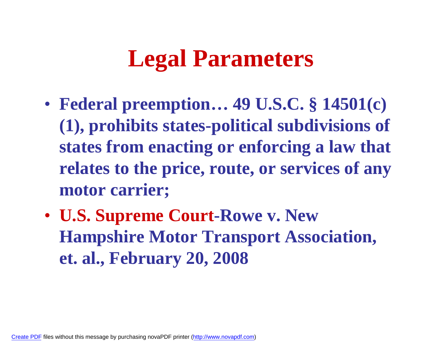### **Legal Parameters**

- **Federal preemption… 49 U.S.C. § 14501(c) (1), prohibits states-political subdivisions of states from enacting or enforcing a law that relates to the price, route, or services of any motor carrier;**
- **U.S. Supreme Court-Rowe v. New Hampshire Motor Transport Association, et. al., February 20, 2008**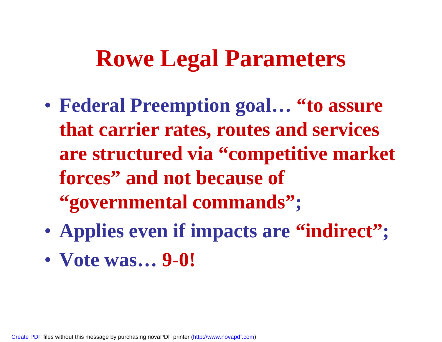### **Rowe Legal Parameters**

- **Federal Preemption goal… "to assure that carrier rates, routes and services are structured via "competitive market forces" and not because of "governmental commands";**
- **Applies even if impacts are "indirect";**
- **Vote was… 9-0!**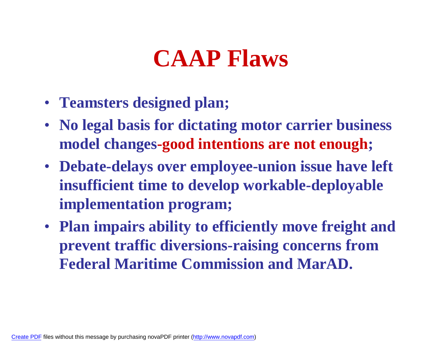## **CAAP Flaws**

- **Teamsters designed plan;**
- **No legal basis for dictating motor carrier business model changes-good intentions are not enough;**
- **Debate-delays over employee-union issue have left insufficient time to develop workable-deployable implementation program;**
- **Plan impairs ability to efficiently move freight and prevent traffic diversions-raising concerns from Federal Maritime Commission and MarAD.**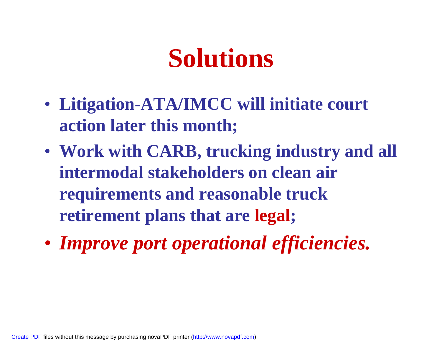# **Solutions**

- **Litigation-ATA/IMCC will initiate court action later this month;**
- **Work with CARB, trucking industry and all intermodal stakeholders on clean air requirements and reasonable truck retirement plans that are legal;**
- *Improve port operational efficiencies.*